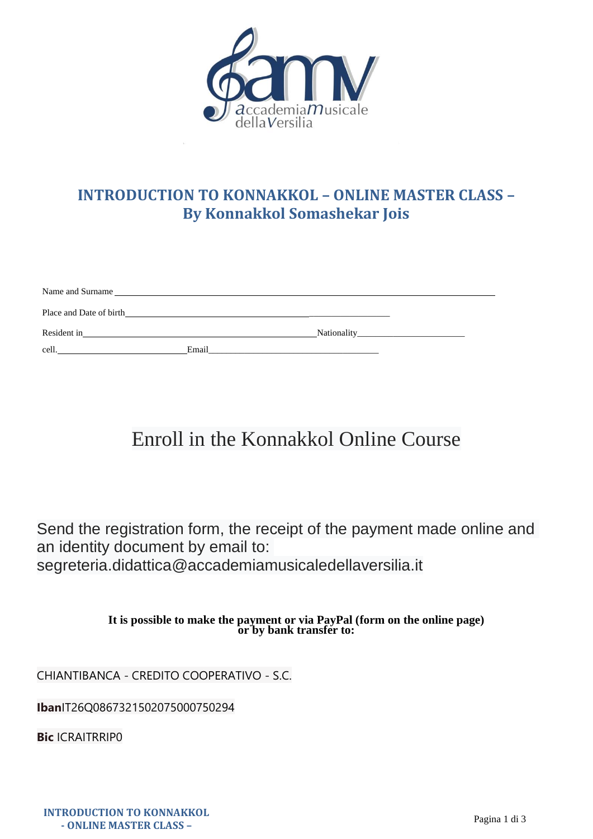

# **INTRODUCTION TO KONNAKKOL – ONLINE MASTER CLASS – By Konnakkol Somashekar Jois**

| Name and Surname        |                                                                                                              |                                                                                                                                                                                                                                |
|-------------------------|--------------------------------------------------------------------------------------------------------------|--------------------------------------------------------------------------------------------------------------------------------------------------------------------------------------------------------------------------------|
| Place and Date of birth |                                                                                                              |                                                                                                                                                                                                                                |
| Resident in             |                                                                                                              | Nationality and the state of the state of the state of the state of the state of the state of the state of the state of the state of the state of the state of the state of the state of the state of the state of the state o |
| cell.                   | Email<br>the contract of the contract of the contract of the contract of the contract of the contract of the |                                                                                                                                                                                                                                |

# Enroll in the Konnakkol Online Course

Send the registration form, the receipt of the payment made online and an identity document by email to: segreteria.didattica@accademiamusicaledellaversilia.it

> **It is possible to make the payment or via PayPal (form on the online page) or by bank transfer to:**

CHIANTIBANCA - CREDITO COOPERATIVO - S.C.

**Iban**IT26Q0867321502075000750294

**Bic** ICRAITRRIP0

**INTRODUCTION TO KONNAKKOL - ONLINE MASTER CLASS –**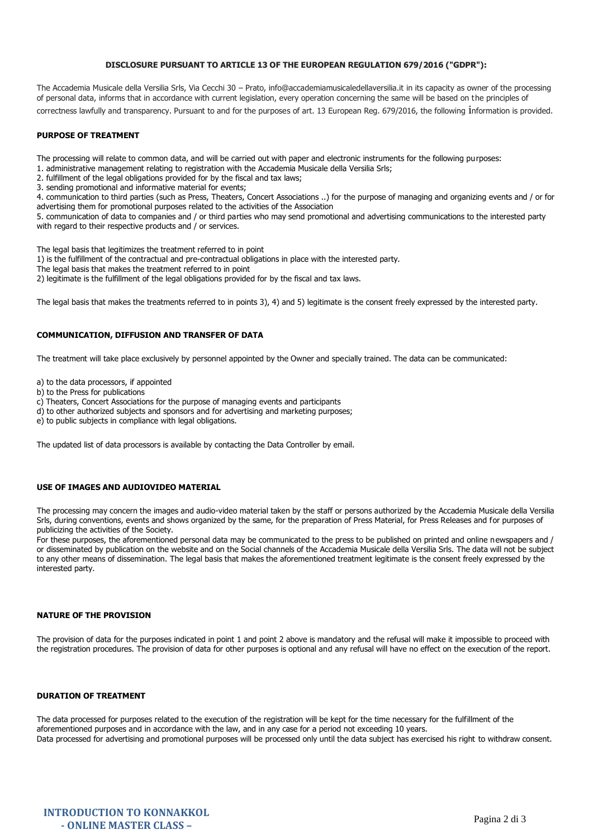## **DISCLOSURE PURSUANT TO ARTICLE 13 OF THE EUROPEAN REGULATION 679/2016 ("GDPR"):**

The Accademia Musicale della Versilia Srls, Via Cecchi 30 – Prato, info@accademiamusicaledellaversilia.it in its capacity as owner of the processing of personal data, informs that in accordance with current legislation, every operation concerning the same will be based on the principles of correctness lawfully and transparency. Pursuant to and for the purposes of art. 13 European Reg. 679/2016, the following information is provided.

#### **PURPOSE OF TREATMENT**

The processing will relate to common data, and will be carried out with paper and electronic instruments for the following purposes:

1. administrative management relating to registration with the Accademia Musicale della Versilia Srls;

2. fulfillment of the legal obligations provided for by the fiscal and tax laws;

3. sending promotional and informative material for events;

4. communication to third parties (such as Press, Theaters, Concert Associations ..) for the purpose of managing and organizing events and / or for advertising them for promotional purposes related to the activities of the Association

5. communication of data to companies and / or third parties who may send promotional and advertising communications to the interested party with regard to their respective products and / or services.

The legal basis that legitimizes the treatment referred to in point

1) is the fulfillment of the contractual and pre-contractual obligations in place with the interested party.

The legal basis that makes the treatment referred to in point

2) legitimate is the fulfillment of the legal obligations provided for by the fiscal and tax laws.

The legal basis that makes the treatments referred to in points 3), 4) and 5) legitimate is the consent freely expressed by the interested party.

## **COMMUNICATION, DIFFUSION AND TRANSFER OF DATA**

The treatment will take place exclusively by personnel appointed by the Owner and specially trained. The data can be communicated:

a) to the data processors, if appointed

b) to the Press for publications

c) Theaters, Concert Associations for the purpose of managing events and participants

d) to other authorized subjects and sponsors and for advertising and marketing purposes;

e) to public subjects in compliance with legal obligations.

The updated list of data processors is available by contacting the Data Controller by email.

#### **USE OF IMAGES AND AUDIOVIDEO MATERIAL**

The processing may concern the images and audio-video material taken by the staff or persons authorized by the Accademia Musicale della Versilia Srls, during conventions, events and shows organized by the same, for the preparation of Press Material, for Press Releases and for purposes of publicizing the activities of the Society.

For these purposes, the aforementioned personal data may be communicated to the press to be published on printed and online newspapers and / or disseminated by publication on the website and on the Social channels of the Accademia Musicale della Versilia Srls. The data will not be subject to any other means of dissemination. The legal basis that makes the aforementioned treatment legitimate is the consent freely expressed by the interested party.

#### **NATURE OF THE PROVISION**

The provision of data for the purposes indicated in point 1 and point 2 above is mandatory and the refusal will make it impossible to proceed with the registration procedures. The provision of data for other purposes is optional and any refusal will have no effect on the execution of the report.

# **DURATION OF TREATMENT**

The data processed for purposes related to the execution of the registration will be kept for the time necessary for the fulfillment of the aforementioned purposes and in accordance with the law, and in any case for a period not exceeding 10 years. Data processed for advertising and promotional purposes will be processed only until the data subject has exercised his right to withdraw consent.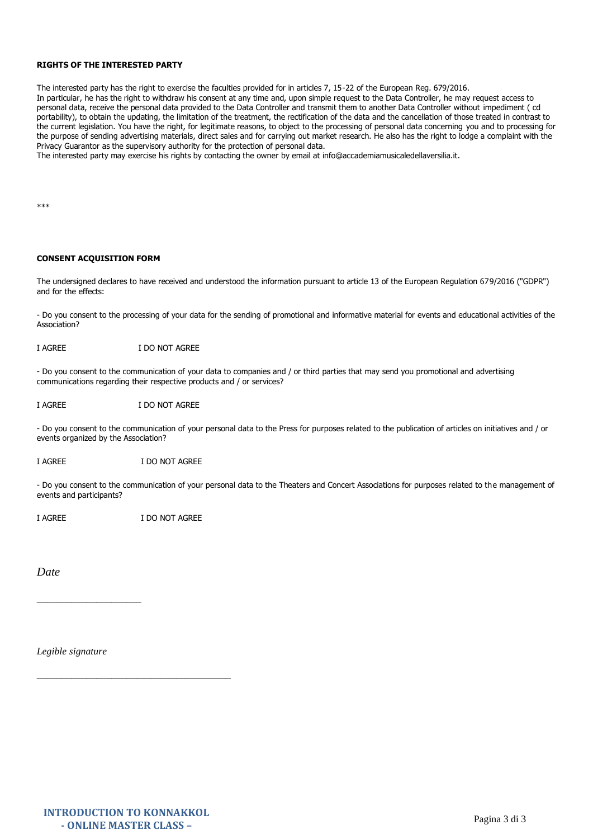## **RIGHTS OF THE INTERESTED PARTY**

The interested party has the right to exercise the faculties provided for in articles 7, 15-22 of the European Reg. 679/2016. In particular, he has the right to withdraw his consent at any time and, upon simple request to the Data Controller, he may request access to personal data, receive the personal data provided to the Data Controller and transmit them to another Data Controller without impediment ( cd portability), to obtain the updating, the limitation of the treatment, the rectification of the data and the cancellation of those treated in contrast to the current legislation. You have the right, for legitimate reasons, to object to the processing of personal data concerning you and to processing for the purpose of sending advertising materials, direct sales and for carrying out market research. He also has the right to lodge a complaint with the Privacy Guarantor as the supervisory authority for the protection of personal data.

The interested party may exercise his rights by contacting the owner by email at info@accademiamusicaledellaversilia.it.

\*\*\*

#### **CONSENT ACQUISITION FORM**

The undersigned declares to have received and understood the information pursuant to article 13 of the European Regulation 679/2016 ("GDPR") and for the effects:

- Do you consent to the processing of your data for the sending of promotional and informative material for events and educational activities of the Association?

I AGREE I DO NOT AGREE

- Do you consent to the communication of your data to companies and / or third parties that may send you promotional and advertising communications regarding their respective products and / or services?

I AGREE I DO NOT AGREE

- Do you consent to the communication of your personal data to the Press for purposes related to the publication of articles on initiatives and / or events organized by the Association?

I AGREE I DO NOT AGREE

- Do you consent to the communication of your personal data to the Theaters and Concert Associations for purposes related to the management of events and participants?

I AGREE I DO NOT AGREE

*Date* 

*Legible signature*

\_\_\_\_\_\_\_\_\_\_\_\_\_\_\_\_\_\_\_\_\_

\_\_\_\_\_\_\_\_\_\_\_\_\_\_\_\_\_\_\_\_\_\_\_\_\_\_\_\_\_\_\_\_\_\_\_\_\_\_\_